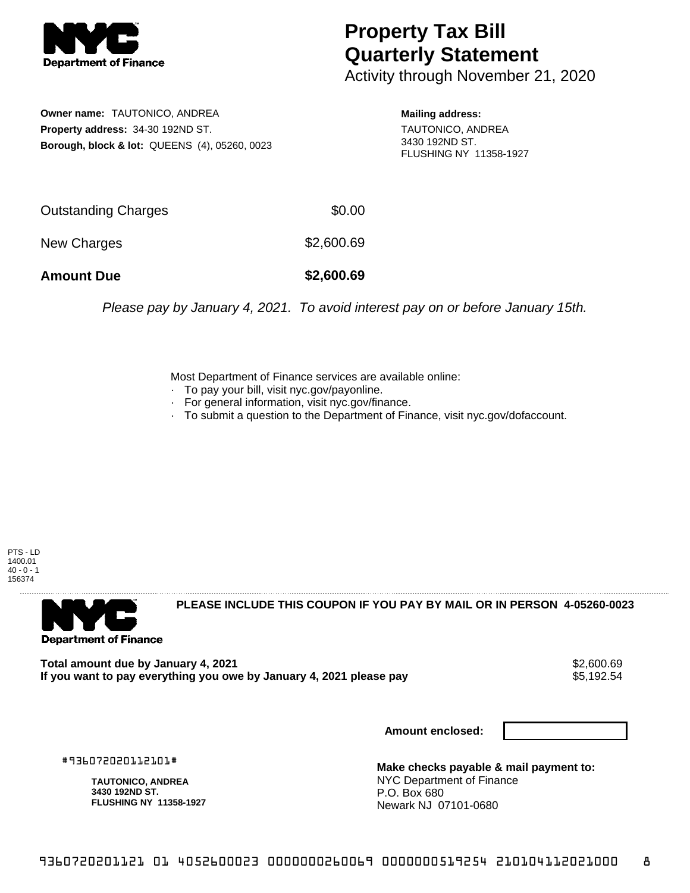

## **Property Tax Bill Quarterly Statement**

Activity through November 21, 2020

**Owner name:** TAUTONICO, ANDREA **Property address:** 34-30 192ND ST. **Borough, block & lot:** QUEENS (4), 05260, 0023 **Mailing address:**

TAUTONICO, ANDREA 3430 192ND ST. FLUSHING NY 11358-1927

| Outstanding Charges | \$0.00     |
|---------------------|------------|
| New Charges         | \$2,600.69 |

**Amount Due \$2,600.69**

Please pay by January 4, 2021. To avoid interest pay on or before January 15th.

Most Department of Finance services are available online:

- · To pay your bill, visit nyc.gov/payonline.
- For general information, visit nyc.gov/finance.
- · To submit a question to the Department of Finance, visit nyc.gov/dofaccount.

PTS - LD 1400.01  $40 - 0 - 1$ 156374



**PLEASE INCLUDE THIS COUPON IF YOU PAY BY MAIL OR IN PERSON 4-05260-0023** 

Total amount due by January 4, 2021<br>If you want to pay everything you owe by January 4, 2021 please pay **\$2,000.69** \$5,192.54 If you want to pay everything you owe by January 4, 2021 please pay

**Amount enclosed:**

#936072020112101#

**TAUTONICO, ANDREA 3430 192ND ST. FLUSHING NY 11358-1927**

**Make checks payable & mail payment to:** NYC Department of Finance P.O. Box 680 Newark NJ 07101-0680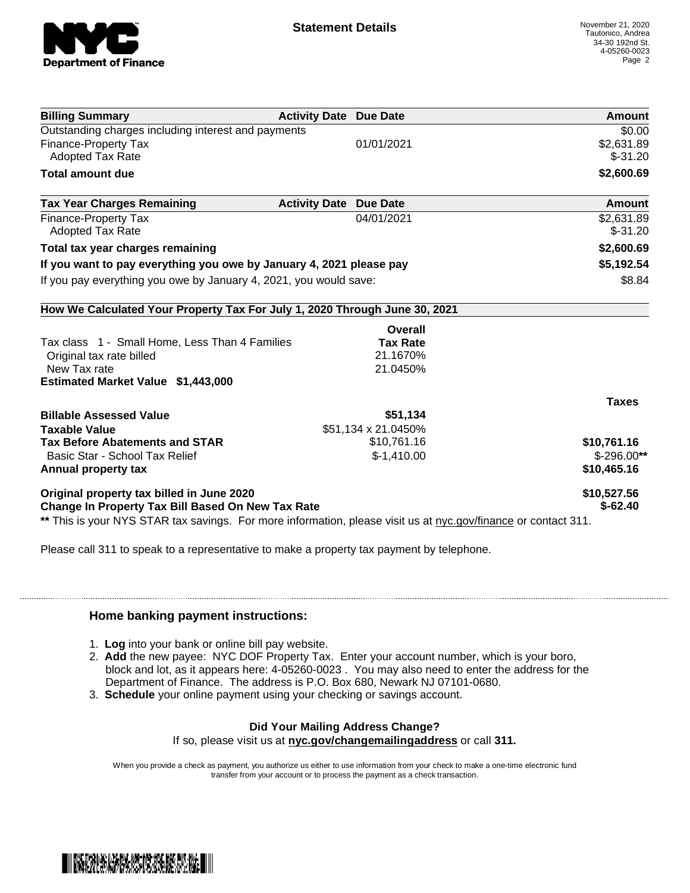

| <b>Billing Summary</b>                                                                                         | <b>Activity Date Due Date</b>           | Amount       |
|----------------------------------------------------------------------------------------------------------------|-----------------------------------------|--------------|
| Outstanding charges including interest and payments                                                            |                                         | \$0.00       |
| <b>Finance-Property Tax</b>                                                                                    | 01/01/2021                              | \$2,631.89   |
| <b>Adopted Tax Rate</b>                                                                                        |                                         | $$-31.20$    |
| <b>Total amount due</b>                                                                                        |                                         | \$2,600.69   |
| <b>Tax Year Charges Remaining</b>                                                                              | <b>Activity Date</b><br><b>Due Date</b> | Amount       |
| <b>Finance-Property Tax</b>                                                                                    | 04/01/2021                              | \$2,631.89   |
| <b>Adopted Tax Rate</b>                                                                                        |                                         | $$-31.20$    |
| Total tax year charges remaining                                                                               |                                         | \$2,600.69   |
| If you want to pay everything you owe by January 4, 2021 please pay                                            |                                         | \$5,192.54   |
| If you pay everything you owe by January 4, 2021, you would save:                                              |                                         | \$8.84       |
| How We Calculated Your Property Tax For July 1, 2020 Through June 30, 2021                                     |                                         |              |
|                                                                                                                | Overall                                 |              |
| Tax class 1 - Small Home, Less Than 4 Families                                                                 | <b>Tax Rate</b>                         |              |
| Original tax rate billed                                                                                       | 21.1670%                                |              |
| New Tax rate                                                                                                   | 21.0450%                                |              |
| Estimated Market Value \$1,443,000                                                                             |                                         |              |
|                                                                                                                |                                         | <b>Taxes</b> |
| <b>Billable Assessed Value</b>                                                                                 | \$51,134                                |              |
| <b>Taxable Value</b>                                                                                           | \$51,134 x 21.0450%                     |              |
| <b>Tax Before Abatements and STAR</b>                                                                          | \$10,761.16                             | \$10,761.16  |
| Basic Star - School Tax Relief                                                                                 | $$-1,410.00$                            | $$-296.00**$ |
| Annual property tax                                                                                            |                                         | \$10,465.16  |
| Original property tax billed in June 2020                                                                      |                                         | \$10,527.56  |
| <b>Change In Property Tax Bill Based On New Tax Rate</b>                                                       |                                         | $$-62.40$    |
| ** This is your NYS STAR tax savings. For more information, please visit us at nyc.gov/finance or contact 311. |                                         |              |

Please call 311 to speak to a representative to make a property tax payment by telephone.

## **Home banking payment instructions:**

- 1. **Log** into your bank or online bill pay website.
- 2. **Add** the new payee: NYC DOF Property Tax. Enter your account number, which is your boro, block and lot, as it appears here: 4-05260-0023 . You may also need to enter the address for the Department of Finance. The address is P.O. Box 680, Newark NJ 07101-0680.
- 3. **Schedule** your online payment using your checking or savings account.

## **Did Your Mailing Address Change?**

If so, please visit us at **nyc.gov/changemailingaddress** or call **311.**

When you provide a check as payment, you authorize us either to use information from your check to make a one-time electronic fund transfer from your account or to process the payment as a check transaction.